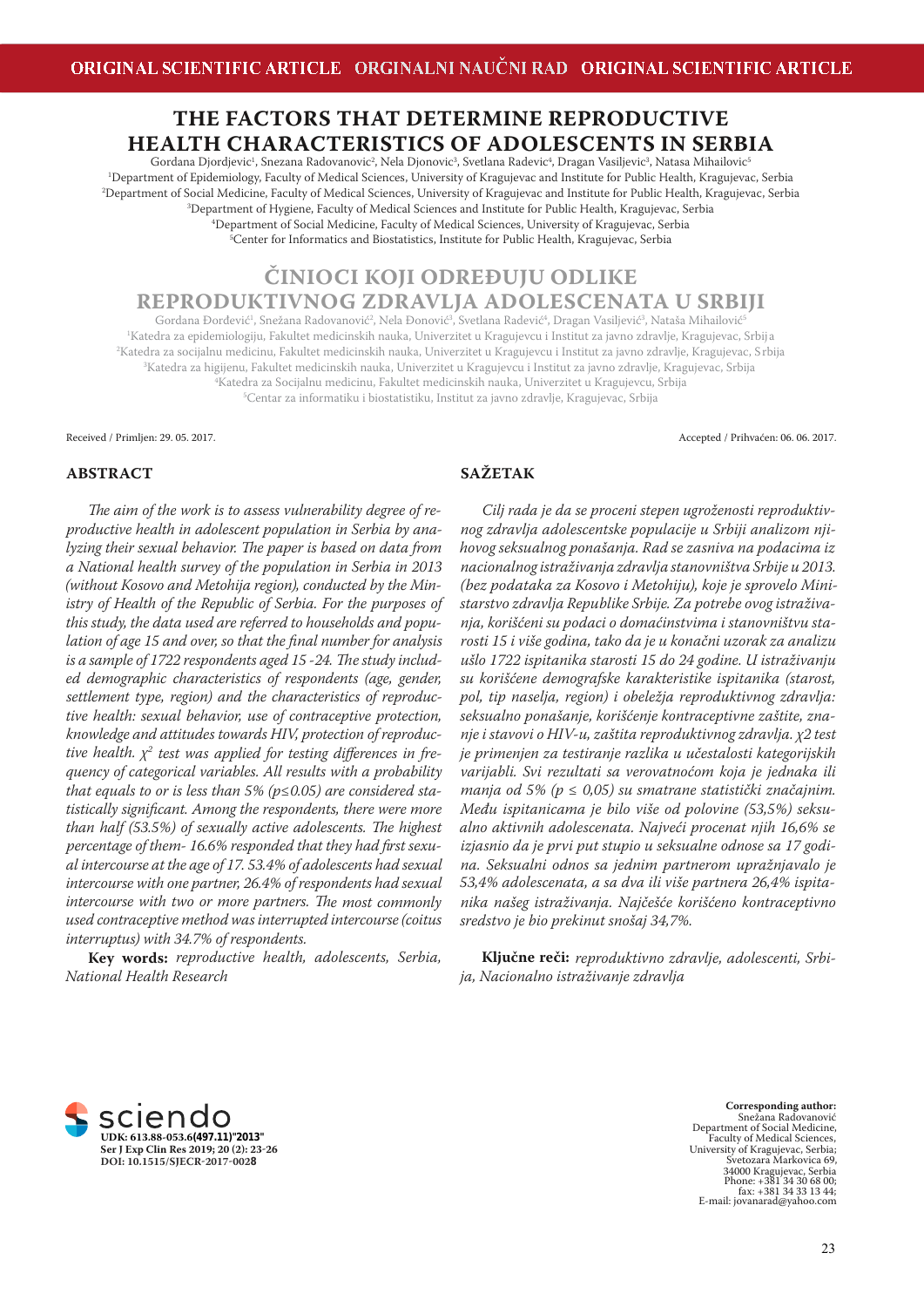# **THE FACTORS THAT DETERMINE REPRODUCTIVE HEALTH CHARACTERISTICS OF ADOLESCENTS IN SERBIA**

Gordana Djordjevic<sup>ı</sup>, Snezana Radovanovic<sup>2</sup>, Nela Djonovic<sup>3</sup>, Svetlana Radevic<sup>4</sup>, Dragan Vasiljevic<sup>3</sup>, Natasa Mihailovic<sup>5</sup> Department of Epidemiology, Faculty of Medical Sciences, University of Kragujevac and Institute for Public Health, Kragujevac, Serbia Department of Social Medicine, Faculty of Medical Sciences, University of Kragujevac and Institute for Public Health, Kragujevac, Serbia Department of Hygiene, Faculty of Medical Sciences and Institute for Public Health, Kragujevac, Serbia Department of Social Medicine, Faculty of Medical Sciences, University of Kragujevac, Serbia <sup>5</sup>Center for Informatics and Biostatistics, Institute for Public Health, Kragujevac, Serbia

**ČINIOCI KOJI ODREĐUJU ODLIKE REPRODUKTIVNOG ZDRAVLJA ADOLESCENATA U SRBIJI**

Gordana Đorđević<sup>1</sup>, Snežana Radovanović<sup>2</sup>, Nela Đonović<sup>3</sup>, Svetlana Radević<sup>4</sup>, Dragan Vasiljević<sup>3</sup>, Nataša Mihailović<sup>5</sup> <sup>1</sup>Katedra za epidemiologiju, Fakultet medicinskih nauka, Univerzitet u Kragujevcu i Institut za javno zdravlje, Kragujevac, Srbija Katedra za socijalnu medicinu, Fakultet medicinskih nauka, Univerzitet u Kragujevcu i Institut za javno zdravlje, Kragujevac, Srbija Katedra za higijenu, Fakultet medicinskih nauka, Univerzitet u Kragujevcu i Institut za javno zdravlje, Kragujevac, Srbija Katedra za Socijalnu medicinu, Fakultet medicinskih nauka, Univerzitet u Kragujevcu, Srbija Centar za informatiku i biostatistiku, Institut za javno zdravlje, Kragujevac, Srbija

Received / Primljen: 29. 05. 2017. Accepted / Prihvaćen: 06. 06. 2017.

#### **ABSTRACT**

The aim of the work is to assess vulnerability degree of re*productive health in adolescent population in Serbia by analyzing their sexual behavior. The paper is based on data from a National health survey of the population in Serbia in 2013 (without Kosovo and Metohija region), conducted by the Ministry of Health of the Republic of Serbia. For the purposes of this study, the data used are referred to households and population of age 15 and over, so that the final number for analysis* is a sample of 1722 respondents aged 15 -24. The study includ*ed demographic characteristics of respondents (age, gender, settlement type, region) and the characteristics of reproductive health: sexual behavior, use of contraceptive protection, knowledge and attitudes towards HIV, protection of reproductive health.*  $\chi^2$  test was applied for testing differences in fre*quency of categorical variables. All results with a probability that equals to or is less than 5% (p≤0.05) are considered statistically signifi cant. Among the respondents, there were more than half (53.5%) of sexually active adolescents. The highest* percentage of them-16.6% responded that they had first sexu*al intercourse at the age of 17. 53.4% of adolescents had sexual intercourse with one partner, 26.4% of respondents had sexual intercourse with two or more partners. The most commonly used contraceptive method was interrupted intercourse (coitus interruptus) with 34.7% of respondents.* 

**Key words:** *reproductive health, adolescents, Serbia, National Health Research*

# **SAŽETAK**

*Cilj rada je da se proceni stepen ugroženosti reproduktivnog zdravlja adolescentske populacije u Srbiji analizom njihovog seksualnog ponašanja. Rad se zasniva na podacima iz nacionalnog istraživanja zdravlja stanovništva Srbije u 2013. (bez podataka za Kosovo i Metohiju), koje je sprovelo Ministarstvo zdravlja Republike Srbije. Za potrebe ovog istraživanja, korišćeni su podaci o domaćinstvima i stanovništvu starosti 15 i više godina, tako da je u konačni uzorak za analizu ušlo 1722 ispitanika starosti 15 do 24 godine. U istraživanju su korišćene demografske karakteristike ispitanika (starost, pol, tip naselja, region) i obeležja reproduktivnog zdravlja: seksualno ponašanje, korišćenje kontraceptivne zaštite, znanje i stavovi o HIV-u, zaštita reproduktivnog zdravlja. χ2 test je primenjen za testiranje razlika u učestalosti kategorijskih varijabli. Svi rezultati sa verovatnoćom koja je jednaka ili manja od 5% (p ≤ 0,05) su smatrane statistički značajnim. Među ispitanicama je bilo više od polovine (53,5%) seksualno aktivnih adolescenata. Najveći procenat njih 16,6% se izjasnio da je prvi put stupio u seksualne odnose sa 17 godina. Seksualni odnos sa jednim partnerom upražnjavalo je 53,4% adolescenata, a sa dva ili više partnera 26,4% ispitanika našeg istraživanja. Najčešće korišćeno kontraceptivno sredstvo je bio prekinut snošaj 34,7%.* 

**Ključne reči:** *reproduktivno zdravlje, adolescenti, Srbija, Nacionalno istraživanje zdravlja*



**Corresponding author:**  Snežana Radovanović Department of Social Medicine, Faculty of Medical Sciences, University of Kragujevac, Serbia; Svetozara Markovica 69, 34000 Kragujevac, Serbia Phone: +381 34 30 68 00; fax: +381 34 33 13 44; E-mail: jovanarad@yahoo.com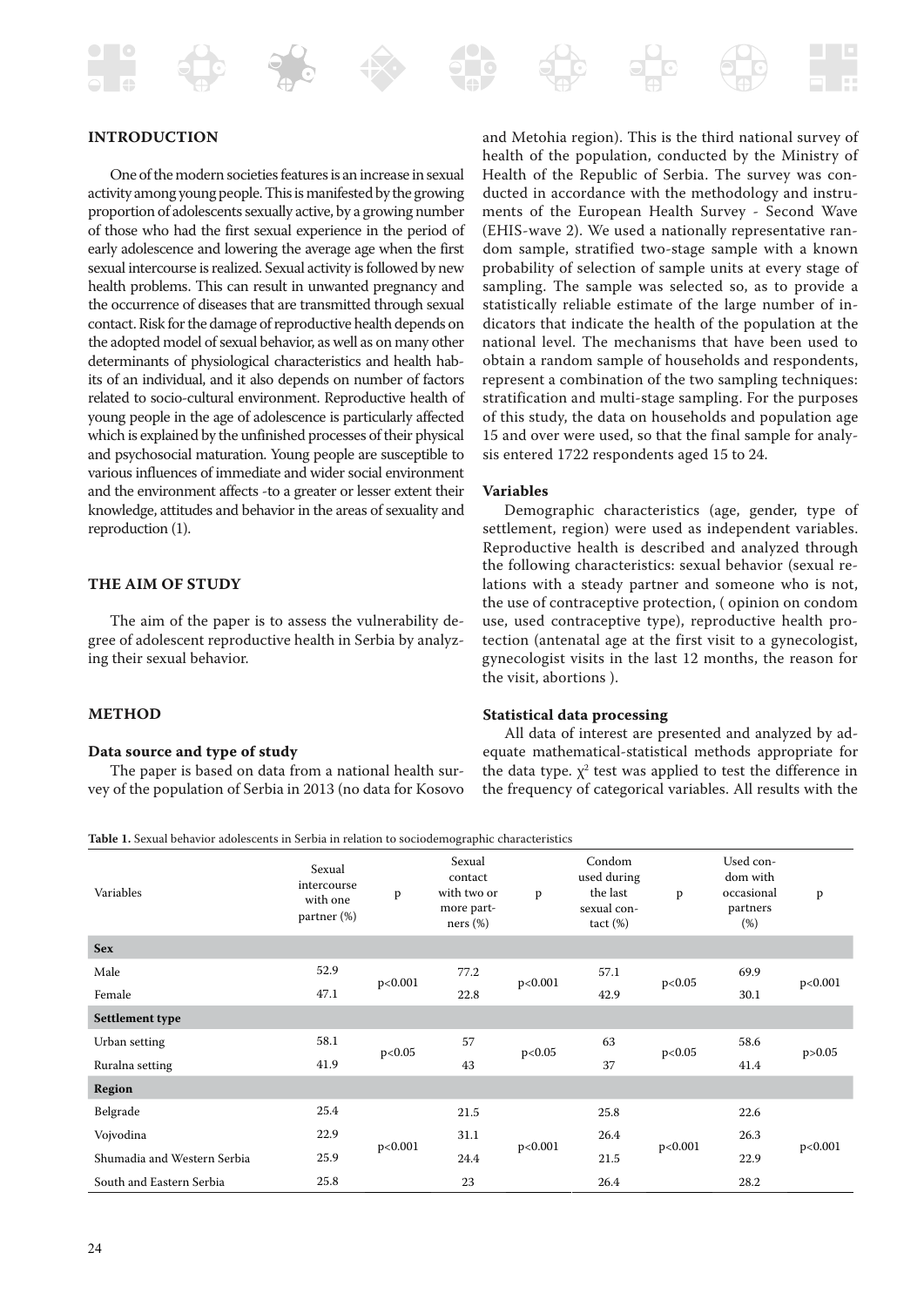

One of the modern societies features is an increase in sexual activity among young people. This is manifested by the growing proportion of adolescents sexually active, by a growing number of those who had the first sexual experience in the period of early adolescence and lowering the average age when the first sexual intercourse is realized. Sexual activity is followed by new health problems. This can result in unwanted pregnancy and the occurrence of diseases that are transmitted through sexual contact. Risk for the damage of reproductive health depends on the adopted model of sexual behavior, as well as on many other determinants of physiological characteristics and health habits of an individual, and it also depends on number of factors related to socio-cultural environment. Reproductive health of young people in the age of adolescence is particularly affected which is explained by the unfinished processes of their physical and psychosocial maturation. Young people are susceptible to various influences of immediate and wider social environment and the environment affects -to a greater or lesser extent their knowledge, attitudes and behavior in the areas of sexuality and reproduction (1).

# **THE AIM OF STUDY**

The aim of the paper is to assess the vulnerability degree of adolescent reproductive health in Serbia by analyzing their sexual behavior.

#### **METHOD**

#### **Data source and type of study**

The paper is based on data from a national health survey of the population of Serbia in 2013 (no data for Kosovo

and Metohia region). This is the third national survey of health of the population, conducted by the Ministry of Health of the Republic of Serbia. The survey was conducted in accordance with the methodology and instruments of the European Health Survey - Second Wave (EHIS-wave 2). We used a nationally representative random sample, stratified two-stage sample with a known probability of selection of sample units at every stage of sampling. The sample was selected so, as to provide a statistically reliable estimate of the large number of indicators that indicate the health of the population at the national level. The mechanisms that have been used to obtain a random sample of households and respondents, represent a combination of the two sampling techniques: stratification and multi-stage sampling. For the purposes of this study, the data on households and population age 15 and over were used, so that the final sample for analysis entered 1722 respondents aged 15 to 24.

#### **Variables**

Demographic characteristics (age, gender, type of settlement, region) were used as independent variables. Reproductive health is described and analyzed through the following characteristics: sexual behavior (sexual relations with a steady partner and someone who is not, the use of contraceptive protection, ( opinion on condom use, used contraceptive type), reproductive health protection (antenatal age at the first visit to a gynecologist, gynecologist visits in the last 12 months, the reason for the visit, abortions ).

#### **Statistical data processing**

All data of interest are presented and analyzed by adequate mathematical-statistical methods appropriate for the data type.  $\chi^2$  test was applied to test the difference in the frequency of categorical variables. All results with the

**Table 1.** Sexual behavior adolescents in Serbia in relation to sociodemographic characteristics

| Variables                   | Sexual<br>intercourse<br>with one<br>$\frac{1}{2}$ partner $\frac{1}{2}$ | p       | Sexual<br>contact<br>with two or<br>more part-<br>ners (%) | p       | Condom<br>used during<br>the last<br>sexual con-<br>$tact (\%)$ | p       | Used con-<br>dom with<br>occasional<br>partners<br>(%) | $\mathbf{p}$ |
|-----------------------------|--------------------------------------------------------------------------|---------|------------------------------------------------------------|---------|-----------------------------------------------------------------|---------|--------------------------------------------------------|--------------|
| <b>Sex</b>                  |                                                                          |         |                                                            |         |                                                                 |         |                                                        |              |
| Male                        | 52.9                                                                     | p<0.001 | 77.2                                                       | p<0.001 | 57.1                                                            | p<0.05  | 69.9                                                   | p<0.001      |
| Female                      | 47.1                                                                     |         | 22.8                                                       |         | 42.9                                                            |         | 30.1                                                   |              |
| Settlement type             |                                                                          |         |                                                            |         |                                                                 |         |                                                        |              |
| Urban setting               | 58.1                                                                     | p<0.05  | 57                                                         | p<0.05  | 63                                                              | p<0.05  | 58.6                                                   | p > 0.05     |
| Ruralna setting             | 41.9                                                                     |         | 43                                                         |         | 37                                                              |         | 41.4                                                   |              |
| <b>Region</b>               |                                                                          |         |                                                            |         |                                                                 |         |                                                        |              |
| Belgrade                    | 25.4                                                                     | p<0.001 | 21.5                                                       | p<0.001 | 25.8                                                            | p<0.001 | 22.6                                                   | p<0.001      |
| Vojvodina                   | 22.9                                                                     |         | 31.1                                                       |         | 26.4                                                            |         | 26.3                                                   |              |
| Shumadia and Western Serbia | 25.9                                                                     |         | 24.4                                                       |         | 21.5                                                            |         | 22.9                                                   |              |
| South and Eastern Serbia    | 25.8                                                                     |         | 23                                                         |         | 26.4                                                            |         | 28.2                                                   |              |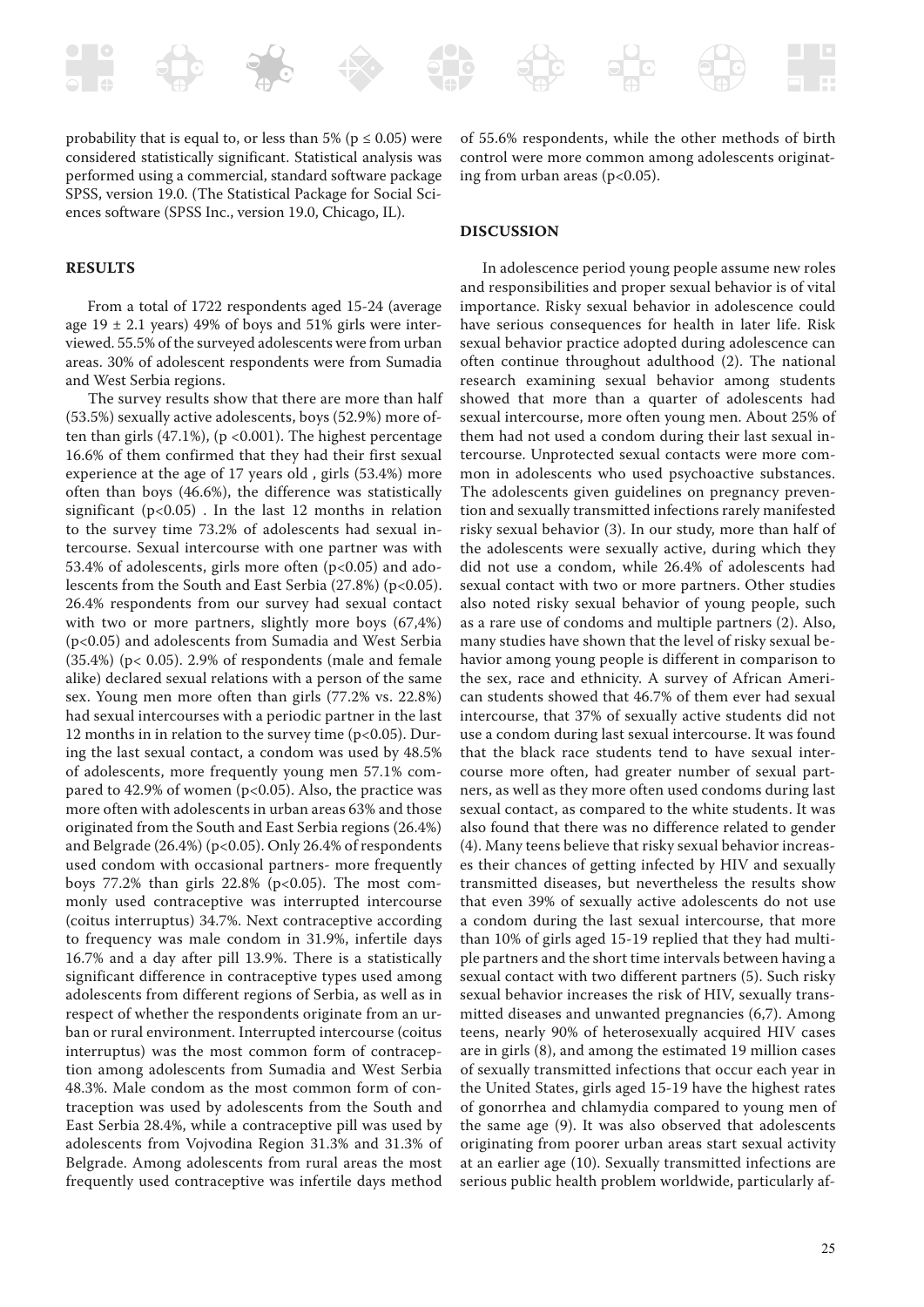

#### **RESULTS**

From a total of 1722 respondents aged 15-24 (average age  $19 \pm 2.1$  years) 49% of boys and 51% girls were interviewed. 55.5% of the surveyed adolescents were from urban areas. 30% of adolescent respondents were from Sumadia and West Serbia regions.

The survey results show that there are more than half (53.5%) sexually active adolescents, boys (52.9%) more often than girls  $(47.1\%)$ ,  $(p < 0.001)$ . The highest percentage 16.6% of them confirmed that they had their first sexual experience at the age of 17 years old , girls (53.4%) more often than boys (46.6%), the difference was statistically significant  $(p<0.05)$ . In the last 12 months in relation to the survey time 73.2% of adolescents had sexual intercourse. Sexual intercourse with one partner was with 53.4% of adolescents, girls more often (p<0.05) and adolescents from the South and East Serbia (27.8%) (p<0.05). 26.4% respondents from our survey had sexual contact with two or more partners, slightly more boys (67,4%) (p<0.05) and adolescents from Sumadia and West Serbia  $(35.4%)$  (p< 0.05). 2.9% of respondents (male and female alike) declared sexual relations with a person of the same sex. Young men more often than girls (77.2% vs. 22.8%) had sexual intercourses with a periodic partner in the last 12 months in in relation to the survey time ( $p<0.05$ ). During the last sexual contact, a condom was used by 48.5% of adolescents, more frequently young men 57.1% compared to 42.9% of women ( $p<0.05$ ). Also, the practice was more often with adolescents in urban areas 63% and those originated from the South and East Serbia regions (26.4%) and Belgrade (26.4%) (p<0.05). Only 26.4% of respondents used condom with occasional partners- more frequently boys  $77.2\%$  than girls  $22.8\%$  (p<0.05). The most commonly used contraceptive was interrupted intercourse (coitus interruptus) 34.7%. Next contraceptive according to frequency was male condom in 31.9%, infertile days 16.7% and a day after pill 13.9%. There is a statistically significant difference in contraceptive types used among adolescents from different regions of Serbia, as well as in respect of whether the respondents originate from an urban or rural environment. Interrupted intercourse (coitus interruptus) was the most common form of contraception among adolescents from Sumadia and West Serbia 48.3%. Male condom as the most common form of contraception was used by adolescents from the South and East Serbia 28.4%, while a contraceptive pill was used by adolescents from Vojvodina Region 31.3% and 31.3% of Belgrade. Among adolescents from rural areas the most frequently used contraceptive was infertile days method

of 55.6% respondents, while the other methods of birth control were more common among adolescents originating from urban areas ( $p<0.05$ ).

## **DISCUSSION**

In adolescence period young people assume new roles and responsibilities and proper sexual behavior is of vital importance. Risky sexual behavior in adolescence could have serious consequences for health in later life. Risk sexual behavior practice adopted during adolescence can often continue throughout adulthood (2). The national research examining sexual behavior among students showed that more than a quarter of adolescents had sexual intercourse, more often young men. About 25% of them had not used a condom during their last sexual intercourse. Unprotected sexual contacts were more common in adolescents who used psychoactive substances. The adolescents given guidelines on pregnancy prevention and sexually transmitted infections rarely manifested risky sexual behavior (3). In our study, more than half of the adolescents were sexually active, during which they did not use a condom, while 26.4% of adolescents had sexual contact with two or more partners. Other studies also noted risky sexual behavior of young people, such as a rare use of condoms and multiple partners (2). Also, many studies have shown that the level of risky sexual behavior among young people is different in comparison to the sex, race and ethnicity. A survey of African American students showed that 46.7% of them ever had sexual intercourse, that 37% of sexually active students did not use a condom during last sexual intercourse. It was found that the black race students tend to have sexual intercourse more often, had greater number of sexual partners, as well as they more often used condoms during last sexual contact, as compared to the white students. It was also found that there was no difference related to gender (4). Many teens believe that risky sexual behavior increases their chances of getting infected by HIV and sexually transmitted diseases, but nevertheless the results show that even 39% of sexually active adolescents do not use a condom during the last sexual intercourse, that more than 10% of girls aged 15-19 replied that they had multiple partners and the short time intervals between having a sexual contact with two different partners (5). Such risky sexual behavior increases the risk of HIV, sexually transmitted diseases and unwanted pregnancies (6,7). Among teens, nearly 90% of heterosexually acquired HIV cases are in girls (8), and among the estimated 19 million cases of sexually transmitted infections that occur each year in the United States, girls aged 15-19 have the highest rates of gonorrhea and chlamydia compared to young men of the same age (9). It was also observed that adolescents originating from poorer urban areas start sexual activity at an earlier age (10). Sexually transmitted infections are serious public health problem worldwide, particularly af-